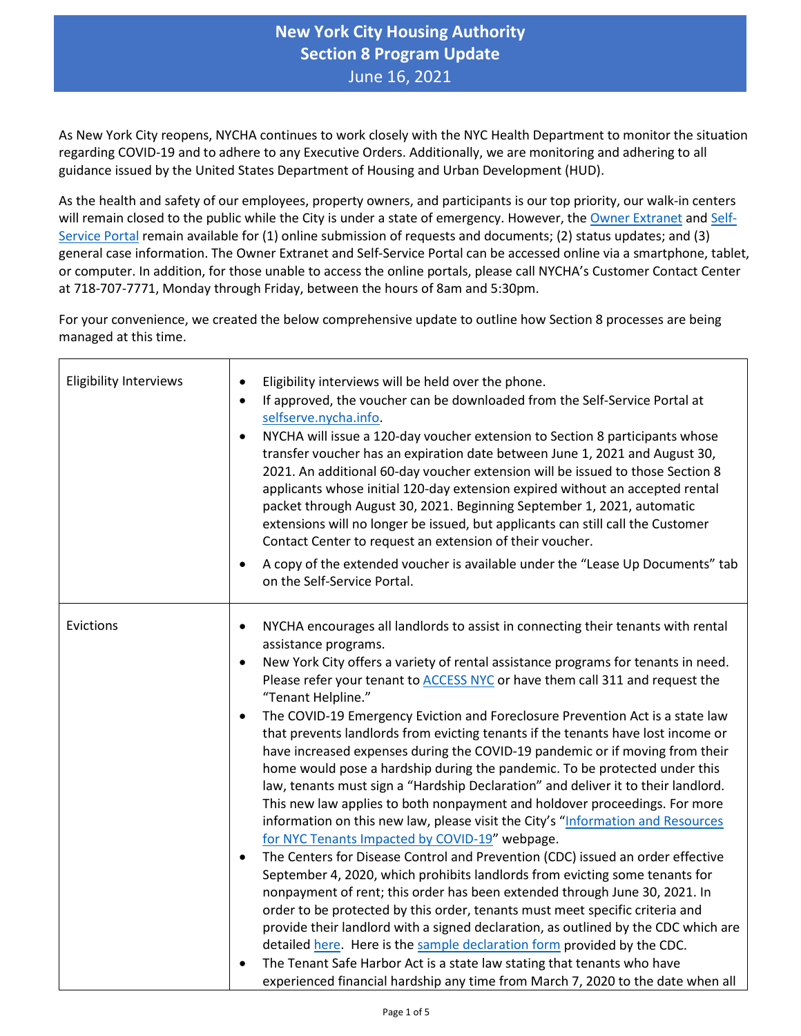## **New York City Housing Authority Section 8 Program Update** June 16, 2021

As New York City reopens, NYCHA continues to work closely with the NYC Health Department to monitor the situation regarding COVID-19 and to adhere to any Executive Orders. Additionally, we are monitoring and adhering to all guidance issued by the United States Department of Housing and Urban Development (HUD).

As the health and safety of our employees, property owners, and participants is our top priority, our walk-in centers will remain closed to the public while the City is under a state of emergency. However, the [Owner Extranet](https://eapps.nycha.info/Owners/login.aspx) an[d Self-](https://selfserve.nycha.info/nycha/app/eservice/enu?SWECmd=Start&)[Service Portal](https://selfserve.nycha.info/nycha/app/eservice/enu?SWECmd=Start&) remain available for (1) online submission of requests and documents; (2) status updates; and (3) general case information. The Owner Extranet and Self-Service Portal can be accessed online via a smartphone, tablet, or computer. In addition, for those unable to access the online portals, please call NYCHA's Customer Contact Center at 718-707-7771, Monday through Friday, between the hours of 8am and 5:30pm.

For your convenience, we created the below comprehensive update to outline how Section 8 processes are being managed at this time.

| <b>Eligibility Interviews</b> | Eligibility interviews will be held over the phone.<br>$\bullet$<br>If approved, the voucher can be downloaded from the Self-Service Portal at<br>$\bullet$<br>selfserve.nycha.info.<br>NYCHA will issue a 120-day voucher extension to Section 8 participants whose<br>$\bullet$<br>transfer voucher has an expiration date between June 1, 2021 and August 30,<br>2021. An additional 60-day voucher extension will be issued to those Section 8<br>applicants whose initial 120-day extension expired without an accepted rental<br>packet through August 30, 2021. Beginning September 1, 2021, automatic<br>extensions will no longer be issued, but applicants can still call the Customer<br>Contact Center to request an extension of their voucher.<br>A copy of the extended voucher is available under the "Lease Up Documents" tab<br>on the Self-Service Portal.                                                                                                                                                                                                                                                                                                                                                                                                                                                                                                                                                                                                                                                                                                                                                                                           |
|-------------------------------|-------------------------------------------------------------------------------------------------------------------------------------------------------------------------------------------------------------------------------------------------------------------------------------------------------------------------------------------------------------------------------------------------------------------------------------------------------------------------------------------------------------------------------------------------------------------------------------------------------------------------------------------------------------------------------------------------------------------------------------------------------------------------------------------------------------------------------------------------------------------------------------------------------------------------------------------------------------------------------------------------------------------------------------------------------------------------------------------------------------------------------------------------------------------------------------------------------------------------------------------------------------------------------------------------------------------------------------------------------------------------------------------------------------------------------------------------------------------------------------------------------------------------------------------------------------------------------------------------------------------------------------------------------------------------|
| Evictions                     | NYCHA encourages all landlords to assist in connecting their tenants with rental<br>$\bullet$<br>assistance programs.<br>New York City offers a variety of rental assistance programs for tenants in need.<br>$\bullet$<br>Please refer your tenant to <b>ACCESS NYC</b> or have them call 311 and request the<br>"Tenant Helpline."<br>The COVID-19 Emergency Eviction and Foreclosure Prevention Act is a state law<br>$\bullet$<br>that prevents landlords from evicting tenants if the tenants have lost income or<br>have increased expenses during the COVID-19 pandemic or if moving from their<br>home would pose a hardship during the pandemic. To be protected under this<br>law, tenants must sign a "Hardship Declaration" and deliver it to their landlord.<br>This new law applies to both nonpayment and holdover proceedings. For more<br>information on this new law, please visit the City's "Information and Resources<br>for NYC Tenants Impacted by COVID-19" webpage.<br>The Centers for Disease Control and Prevention (CDC) issued an order effective<br>$\bullet$<br>September 4, 2020, which prohibits landlords from evicting some tenants for<br>nonpayment of rent; this order has been extended through June 30, 2021. In<br>order to be protected by this order, tenants must meet specific criteria and<br>provide their landlord with a signed declaration, as outlined by the CDC which are<br>detailed here. Here is the sample declaration form provided by the CDC.<br>The Tenant Safe Harbor Act is a state law stating that tenants who have<br>experienced financial hardship any time from March 7, 2020 to the date when all |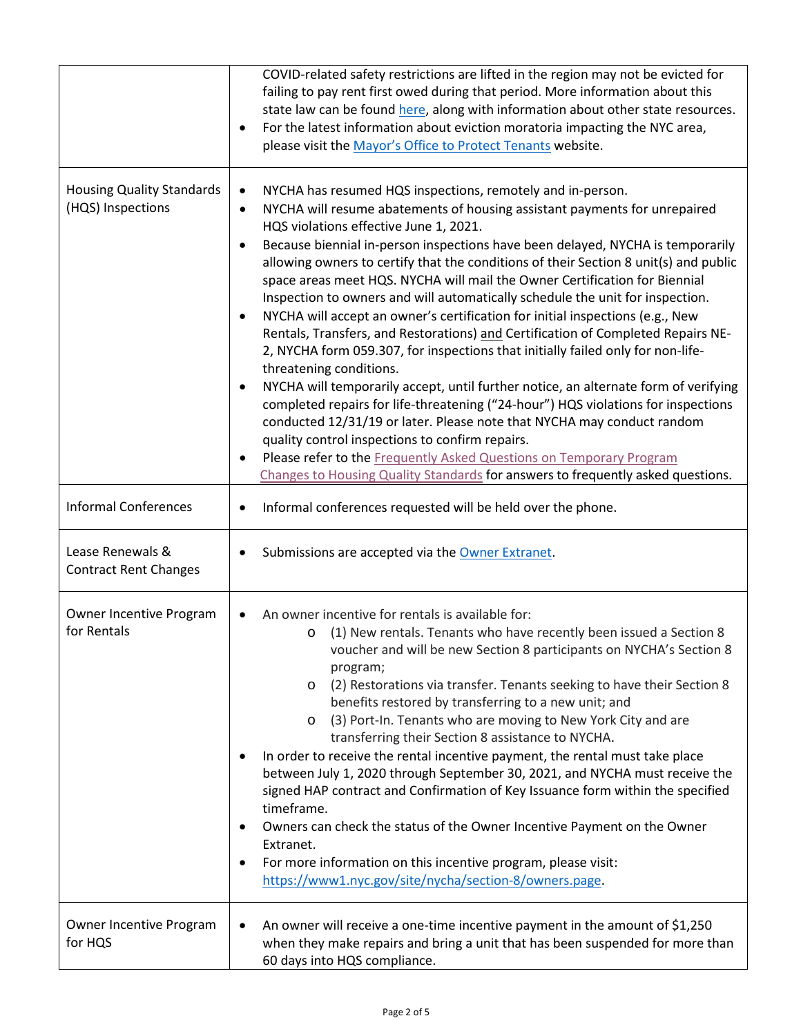|                                                       | COVID-related safety restrictions are lifted in the region may not be evicted for<br>failing to pay rent first owed during that period. More information about this<br>state law can be found here, along with information about other state resources.<br>For the latest information about eviction moratoria impacting the NYC area,<br>please visit the Mayor's Office to Protect Tenants website.                                                                                                                                                                                                                                                                                                                                                                                                                                                                                                                                                                                                                                                                                                                                                                                                                                                                                                                   |
|-------------------------------------------------------|-------------------------------------------------------------------------------------------------------------------------------------------------------------------------------------------------------------------------------------------------------------------------------------------------------------------------------------------------------------------------------------------------------------------------------------------------------------------------------------------------------------------------------------------------------------------------------------------------------------------------------------------------------------------------------------------------------------------------------------------------------------------------------------------------------------------------------------------------------------------------------------------------------------------------------------------------------------------------------------------------------------------------------------------------------------------------------------------------------------------------------------------------------------------------------------------------------------------------------------------------------------------------------------------------------------------------|
| <b>Housing Quality Standards</b><br>(HQS) Inspections | NYCHA has resumed HQS inspections, remotely and in-person.<br>$\bullet$<br>NYCHA will resume abatements of housing assistant payments for unrepaired<br>$\bullet$<br>HQS violations effective June 1, 2021.<br>Because biennial in-person inspections have been delayed, NYCHA is temporarily<br>allowing owners to certify that the conditions of their Section 8 unit(s) and public<br>space areas meet HQS. NYCHA will mail the Owner Certification for Biennial<br>Inspection to owners and will automatically schedule the unit for inspection.<br>NYCHA will accept an owner's certification for initial inspections (e.g., New<br>Rentals, Transfers, and Restorations) and Certification of Completed Repairs NE-<br>2, NYCHA form 059.307, for inspections that initially failed only for non-life-<br>threatening conditions.<br>NYCHA will temporarily accept, until further notice, an alternate form of verifying<br>$\bullet$<br>completed repairs for life-threatening ("24-hour") HQS violations for inspections<br>conducted 12/31/19 or later. Please note that NYCHA may conduct random<br>quality control inspections to confirm repairs.<br>Please refer to the Frequently Asked Questions on Temporary Program<br>Changes to Housing Quality Standards for answers to frequently asked questions. |
| <b>Informal Conferences</b>                           | Informal conferences requested will be held over the phone.                                                                                                                                                                                                                                                                                                                                                                                                                                                                                                                                                                                                                                                                                                                                                                                                                                                                                                                                                                                                                                                                                                                                                                                                                                                             |
| Lease Renewals &<br><b>Contract Rent Changes</b>      | Submissions are accepted via the Owner Extranet.                                                                                                                                                                                                                                                                                                                                                                                                                                                                                                                                                                                                                                                                                                                                                                                                                                                                                                                                                                                                                                                                                                                                                                                                                                                                        |
| Owner Incentive Program<br>for Rentals                | An owner incentive for rentals is available for:<br>٠<br>(1) New rentals. Tenants who have recently been issued a Section 8<br>$\circ$<br>voucher and will be new Section 8 participants on NYCHA's Section 8<br>program;<br>(2) Restorations via transfer. Tenants seeking to have their Section 8<br>$\circ$<br>benefits restored by transferring to a new unit; and<br>(3) Port-In. Tenants who are moving to New York City and are<br>$\circ$<br>transferring their Section 8 assistance to NYCHA.<br>In order to receive the rental incentive payment, the rental must take place<br>between July 1, 2020 through September 30, 2021, and NYCHA must receive the<br>signed HAP contract and Confirmation of Key Issuance form within the specified<br>timeframe.<br>Owners can check the status of the Owner Incentive Payment on the Owner<br>Extranet.<br>For more information on this incentive program, please visit:<br>https://www1.nyc.gov/site/nycha/section-8/owners.page.                                                                                                                                                                                                                                                                                                                                |
| Owner Incentive Program<br>for HQS                    | An owner will receive a one-time incentive payment in the amount of \$1,250<br>when they make repairs and bring a unit that has been suspended for more than<br>60 days into HQS compliance.                                                                                                                                                                                                                                                                                                                                                                                                                                                                                                                                                                                                                                                                                                                                                                                                                                                                                                                                                                                                                                                                                                                            |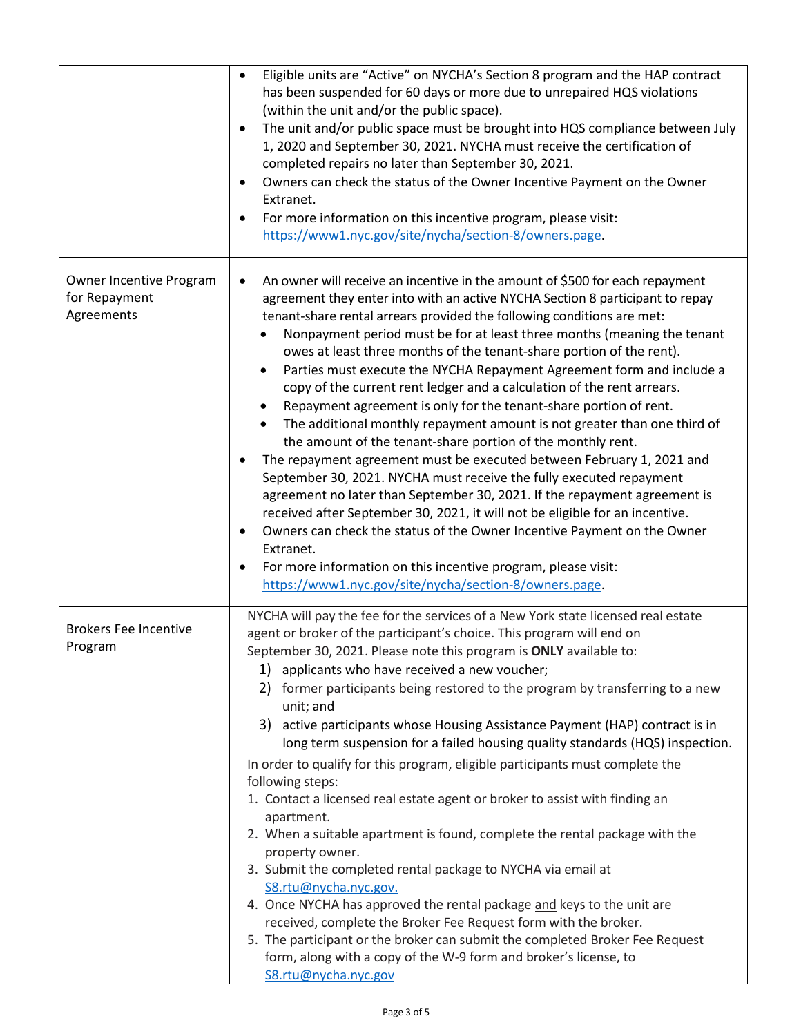|                                                        | Eligible units are "Active" on NYCHA's Section 8 program and the HAP contract<br>$\bullet$<br>has been suspended for 60 days or more due to unrepaired HQS violations<br>(within the unit and/or the public space).<br>The unit and/or public space must be brought into HQS compliance between July<br>$\bullet$<br>1, 2020 and September 30, 2021. NYCHA must receive the certification of<br>completed repairs no later than September 30, 2021.<br>Owners can check the status of the Owner Incentive Payment on the Owner<br>Extranet.<br>For more information on this incentive program, please visit:<br>$\bullet$<br>https://www1.nyc.gov/site/nycha/section-8/owners.page.                                                                                                                                                                                                                                                                                                                                                                                                                                                                                                                                                                                                                                               |
|--------------------------------------------------------|-----------------------------------------------------------------------------------------------------------------------------------------------------------------------------------------------------------------------------------------------------------------------------------------------------------------------------------------------------------------------------------------------------------------------------------------------------------------------------------------------------------------------------------------------------------------------------------------------------------------------------------------------------------------------------------------------------------------------------------------------------------------------------------------------------------------------------------------------------------------------------------------------------------------------------------------------------------------------------------------------------------------------------------------------------------------------------------------------------------------------------------------------------------------------------------------------------------------------------------------------------------------------------------------------------------------------------------|
| Owner Incentive Program<br>for Repayment<br>Agreements | An owner will receive an incentive in the amount of \$500 for each repayment<br>$\bullet$<br>agreement they enter into with an active NYCHA Section 8 participant to repay<br>tenant-share rental arrears provided the following conditions are met:<br>Nonpayment period must be for at least three months (meaning the tenant<br>owes at least three months of the tenant-share portion of the rent).<br>Parties must execute the NYCHA Repayment Agreement form and include a<br>٠<br>copy of the current rent ledger and a calculation of the rent arrears.<br>Repayment agreement is only for the tenant-share portion of rent.<br>The additional monthly repayment amount is not greater than one third of<br>the amount of the tenant-share portion of the monthly rent.<br>The repayment agreement must be executed between February 1, 2021 and<br>September 30, 2021. NYCHA must receive the fully executed repayment<br>agreement no later than September 30, 2021. If the repayment agreement is<br>received after September 30, 2021, it will not be eligible for an incentive.<br>Owners can check the status of the Owner Incentive Payment on the Owner<br>٠<br>Extranet.<br>For more information on this incentive program, please visit:<br>$\bullet$<br>https://www1.nyc.gov/site/nycha/section-8/owners.page. |
| <b>Brokers Fee Incentive</b><br>Program                | NYCHA will pay the fee for the services of a New York state licensed real estate<br>agent or broker of the participant's choice. This program will end on<br>September 30, 2021. Please note this program is <b>ONLY</b> available to:<br>1) applicants who have received a new voucher;<br>2) former participants being restored to the program by transferring to a new<br>unit; and<br>3) active participants whose Housing Assistance Payment (HAP) contract is in<br>long term suspension for a failed housing quality standards (HQS) inspection.<br>In order to qualify for this program, eligible participants must complete the<br>following steps:<br>1. Contact a licensed real estate agent or broker to assist with finding an<br>apartment.<br>2. When a suitable apartment is found, complete the rental package with the<br>property owner.<br>3. Submit the completed rental package to NYCHA via email at<br>S8.rtu@nycha.nyc.gov.<br>4. Once NYCHA has approved the rental package and keys to the unit are<br>received, complete the Broker Fee Request form with the broker.<br>5. The participant or the broker can submit the completed Broker Fee Request<br>form, along with a copy of the W-9 form and broker's license, to<br>S8.rtu@nycha.nyc.gov                                                     |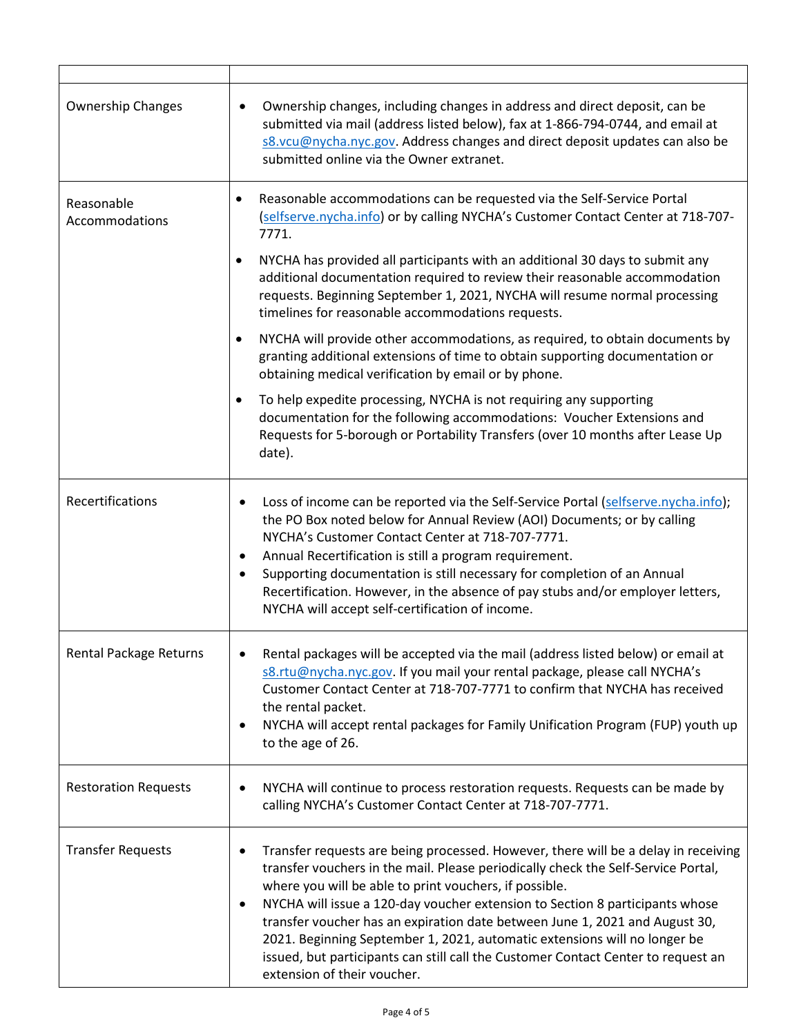| <b>Ownership Changes</b>     | Ownership changes, including changes in address and direct deposit, can be<br>٠<br>submitted via mail (address listed below), fax at 1-866-794-0744, and email at<br>s8.vcu@nycha.nyc.gov. Address changes and direct deposit updates can also be<br>submitted online via the Owner extranet.                                                                                                                                                                                                                                                                                                               |
|------------------------------|-------------------------------------------------------------------------------------------------------------------------------------------------------------------------------------------------------------------------------------------------------------------------------------------------------------------------------------------------------------------------------------------------------------------------------------------------------------------------------------------------------------------------------------------------------------------------------------------------------------|
| Reasonable<br>Accommodations | Reasonable accommodations can be requested via the Self-Service Portal<br>٠<br>(selfserve.nycha.info) or by calling NYCHA's Customer Contact Center at 718-707-<br>7771.                                                                                                                                                                                                                                                                                                                                                                                                                                    |
|                              | NYCHA has provided all participants with an additional 30 days to submit any<br>$\bullet$<br>additional documentation required to review their reasonable accommodation<br>requests. Beginning September 1, 2021, NYCHA will resume normal processing<br>timelines for reasonable accommodations requests.                                                                                                                                                                                                                                                                                                  |
|                              | NYCHA will provide other accommodations, as required, to obtain documents by<br>$\bullet$<br>granting additional extensions of time to obtain supporting documentation or<br>obtaining medical verification by email or by phone.                                                                                                                                                                                                                                                                                                                                                                           |
|                              | To help expedite processing, NYCHA is not requiring any supporting<br>$\bullet$<br>documentation for the following accommodations: Voucher Extensions and<br>Requests for 5-borough or Portability Transfers (over 10 months after Lease Up<br>date).                                                                                                                                                                                                                                                                                                                                                       |
| Recertifications             | Loss of income can be reported via the Self-Service Portal (selfserve.nycha.info);<br>٠<br>the PO Box noted below for Annual Review (AOI) Documents; or by calling<br>NYCHA's Customer Contact Center at 718-707-7771.<br>Annual Recertification is still a program requirement.<br>٠<br>Supporting documentation is still necessary for completion of an Annual<br>$\bullet$<br>Recertification. However, in the absence of pay stubs and/or employer letters,<br>NYCHA will accept self-certification of income.                                                                                          |
| Rental Package Returns       | Rental packages will be accepted via the mail (address listed below) or email at<br>s8.rtu@nycha.nyc.gov. If you mail your rental package, please call NYCHA's<br>Customer Contact Center at 718-707-7771 to confirm that NYCHA has received<br>the rental packet.<br>NYCHA will accept rental packages for Family Unification Program (FUP) youth up<br>٠<br>to the age of 26.                                                                                                                                                                                                                             |
| <b>Restoration Requests</b>  | NYCHA will continue to process restoration requests. Requests can be made by<br>calling NYCHA's Customer Contact Center at 718-707-7771.                                                                                                                                                                                                                                                                                                                                                                                                                                                                    |
| <b>Transfer Requests</b>     | Transfer requests are being processed. However, there will be a delay in receiving<br>٠<br>transfer vouchers in the mail. Please periodically check the Self-Service Portal,<br>where you will be able to print vouchers, if possible.<br>NYCHA will issue a 120-day voucher extension to Section 8 participants whose<br>٠<br>transfer voucher has an expiration date between June 1, 2021 and August 30,<br>2021. Beginning September 1, 2021, automatic extensions will no longer be<br>issued, but participants can still call the Customer Contact Center to request an<br>extension of their voucher. |